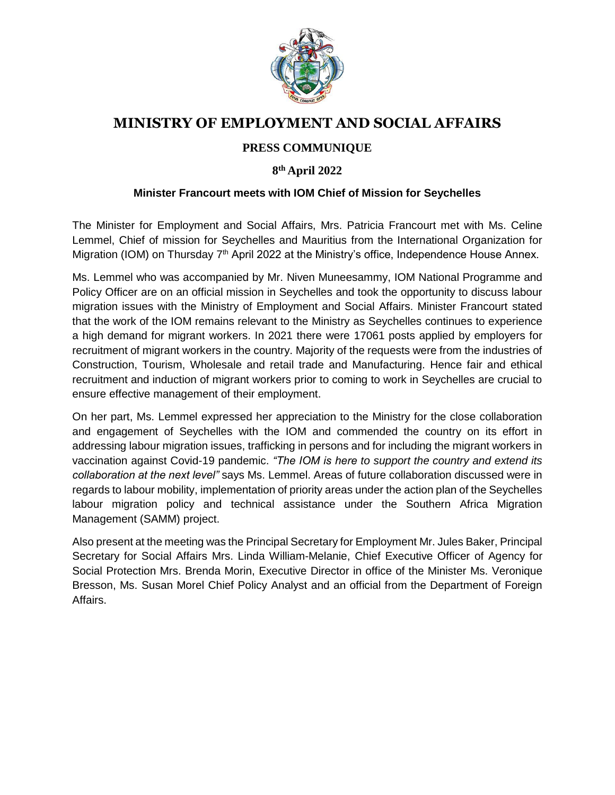

## **MINISTRY OF EMPLOYMENT AND SOCIAL AFFAIRS**

## **PRESS COMMUNIQUE**

## **8 th April 2022**

## **Minister Francourt meets with IOM Chief of Mission for Seychelles**

The Minister for Employment and Social Affairs, Mrs. Patricia Francourt met with Ms. Celine Lemmel, Chief of mission for Seychelles and Mauritius from the International Organization for Migration (IOM) on Thursday  $7<sup>th</sup>$  April 2022 at the Ministry's office, Independence House Annex.

Ms. Lemmel who was accompanied by Mr. Niven Muneesammy, IOM National Programme and Policy Officer are on an official mission in Seychelles and took the opportunity to discuss labour migration issues with the Ministry of Employment and Social Affairs. Minister Francourt stated that the work of the IOM remains relevant to the Ministry as Seychelles continues to experience a high demand for migrant workers. In 2021 there were 17061 posts applied by employers for recruitment of migrant workers in the country. Majority of the requests were from the industries of Construction, Tourism, Wholesale and retail trade and Manufacturing. Hence fair and ethical recruitment and induction of migrant workers prior to coming to work in Seychelles are crucial to ensure effective management of their employment.

On her part, Ms. Lemmel expressed her appreciation to the Ministry for the close collaboration and engagement of Seychelles with the IOM and commended the country on its effort in addressing labour migration issues, trafficking in persons and for including the migrant workers in vaccination against Covid-19 pandemic. *"The IOM is here to support the country and extend its collaboration at the next level"* says Ms. Lemmel. Areas of future collaboration discussed were in regards to labour mobility, implementation of priority areas under the action plan of the Seychelles labour migration policy and technical assistance under the Southern Africa Migration Management (SAMM) project.

Also present at the meeting was the Principal Secretary for Employment Mr. Jules Baker, Principal Secretary for Social Affairs Mrs. Linda William-Melanie, Chief Executive Officer of Agency for Social Protection Mrs. Brenda Morin, Executive Director in office of the Minister Ms. Veronique Bresson, Ms. Susan Morel Chief Policy Analyst and an official from the Department of Foreign Affairs.